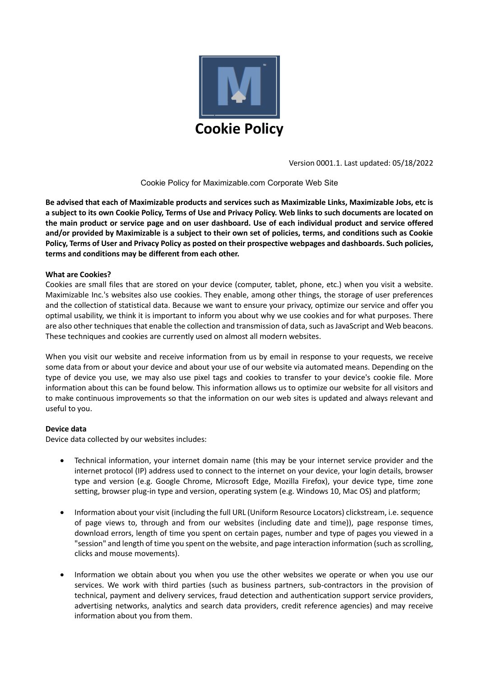

Version 0001.1. Last updated: 05/18/2022

## Cookie Policy for Maximizable.com Corporate Web Site

**Be advised that each of Maximizable products and services such as Maximizable Links, Maximizable Jobs, etc is a subject to its own Cookie Policy, Terms of Use and Privacy Policy. Web links to such documents are located on the main product or service page and on user dashboard. Use of each individual product and service offered and/or provided by Maximizable is a subject to their own set of policies, terms, and conditions such as Cookie Policy, Terms of User and Privacy Policy as posted on their prospective webpages and dashboards. Such policies, terms and conditions may be different from each other.** 

## **What are Cookies?**

Cookies are small files that are stored on your device (computer, tablet, phone, etc.) when you visit a website. Maximizable Inc.'s websites also use cookies. They enable, among other things, the storage of user preferences and the collection of statistical data. Because we want to ensure your privacy, optimize our service and offer you optimal usability, we think it is important to inform you about why we use cookies and for what purposes. There are also other techniques that enable the collection and transmission of data, such as JavaScript and Web beacons. These techniques and cookies are currently used on almost all modern websites.

When you visit our website and receive information from us by email in response to your requests, we receive some data from or about your device and about your use of our website via automated means. Depending on the type of device you use, we may also use pixel tags and cookies to transfer to your device's cookie file. More information about this can be found below. This information allows us to optimize our website for all visitors and to make continuous improvements so that the information on our web sites is updated and always relevant and useful to you.

## **Device data**

Device data collected by our websites includes:

- Technical information, your internet domain name (this may be your internet service provider and the internet protocol (IP) address used to connect to the internet on your device, your login details, browser type and version (e.g. Google Chrome, Microsoft Edge, Mozilla Firefox), your device type, time zone setting, browser plug-in type and version, operating system (e.g. Windows 10, Mac OS) and platform;
- Information about your visit (including the full URL (Uniform Resource Locators) clickstream, i.e. sequence of page views to, through and from our websites (including date and time)), page response times, download errors, length of time you spent on certain pages, number and type of pages you viewed in a "session" and length of time you spent on the website, and page interaction information (such as scrolling, clicks and mouse movements).
- Information we obtain about you when you use the other websites we operate or when you use our services. We work with third parties (such as business partners, sub-contractors in the provision of technical, payment and delivery services, fraud detection and authentication support service providers, advertising networks, analytics and search data providers, credit reference agencies) and may receive information about you from them.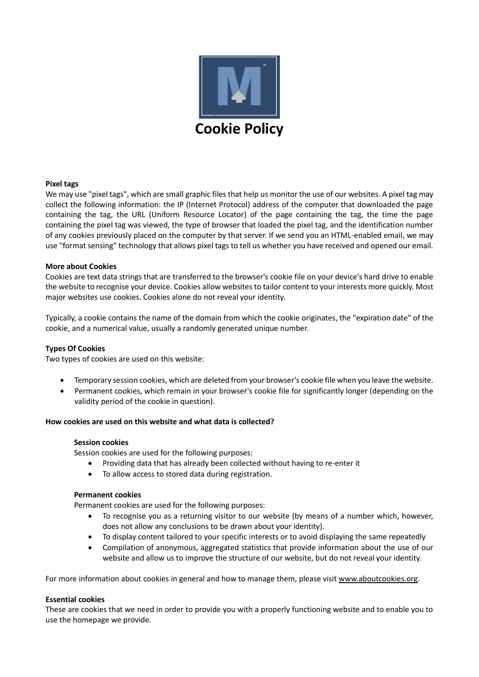

## **Pixel tags**

We may use "pixel tags", which are small graphic files that help us monitor the use of our websites. A pixel tag may collect the following information: the IP (Internet Protocol) address of the computer that downloaded the page containing the tag, the URL (Uniform Resource Locator) of the page containing the tag, the time the page containing the pixel tag was viewed, the type of browser that loaded the pixel tag, and the identification number of any cookies previously placed on the computer by that server. If we send you an HTML-enabled email, we may use "format sensing" technology that allows pixel tags to tell us whether you have received and opened our email.

## **More about Cookies**

Cookies are text data strings that are transferred to the browser's cookie file on your device's hard drive to enable the website to recognise your device. Cookies allow websites to tailor content to your interests more quickly. Most major websites use cookies. Cookies alone do not reveal your identity.

Typically, a cookie contains the name of the domain from which the cookie originates, the "expiration date" of the cookie, and a numerical value, usually a randomly generated unique number.

## **Types Of Cookies**

Two types of cookies are used on this website:

- Temporary session cookies, which are deleted from your browser's cookie file when you leave the website.
- Permanent cookies, which remain in your browser's cookie file for significantly longer (depending on the validity period of the cookie in question).

#### **How cookies are used on this website and what data is collected?**

#### **Session cookies**

Session cookies are used for the following purposes:

- Providing data that has already been collected without having to re-enter it
- To allow access to stored data during registration.

#### **Permanent cookies**

Permanent cookies are used for the following purposes:

- To recognise you as a returning visitor to our website (by means of a number which, however, does not allow any conclusions to be drawn about your identity).
- To display content tailored to your specific interests or to avoid displaying the same repeatedly
- Compilation of anonymous, aggregated statistics that provide information about the use of our website and allow us to improve the structure of our website, but do not reveal your identity.

For more information about cookies in general and how to manage them, please visit [www.aboutcookies.org.](http://www.aboutcookies.org/)

#### **Essential cookies**

These are cookies that we need in order to provide you with a properly functioning website and to enable you to use the homepage we provide.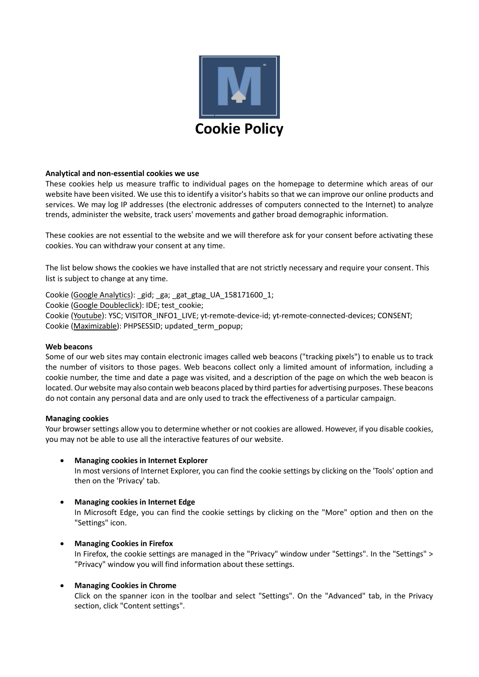

## **Analytical and non-essential cookies we use**

These cookies help us measure traffic to individual pages on the homepage to determine which areas of our website have been visited. We use this to identify a visitor's habits so that we can improve our online products and services. We may log IP addresses (the electronic addresses of computers connected to the Internet) to analyze trends, administer the website, track users' movements and gather broad demographic information.

These cookies are not essential to the website and we will therefore ask for your consent before activating these cookies. You can withdraw your consent at any time.

The list below shows the cookies we have installed that are not strictly necessary and require your consent. This list is subject to change at any time.

Cookie [\(Google Analytics\)](https://policies.google.com/privacy?hl=en-US): gid; ga; gat gtag UA 158171600 1; Cookie [\(Google Doubleclick\)](https://policies.google.com/privacy?hl=en-US): IDE; test\_cookie; Cookie [\(Youtube\)](https://policies.google.com/privacy?hl=en-US): YSC; VISITOR\_INFO1\_LIVE; yt-remote-device-id; yt-remote-connected-devices; CONSENT; Cookie [\(Maximizable\)](https://policies.google.com/privacy?hl=en-US): PHPSESSID; updated\_term\_popup;

## **Web beacons**

Some of our web sites may contain electronic images called web beacons ("tracking pixels") to enable us to track the number of visitors to those pages. Web beacons collect only a limited amount of information, including a cookie number, the time and date a page was visited, and a description of the page on which the web beacon is located. Our website may also contain web beacons placed by third parties for advertising purposes. These beacons do not contain any personal data and are only used to track the effectiveness of a particular campaign.

## **Managing cookies**

Your browser settings allow you to determine whether or not cookies are allowed. However, if you disable cookies, you may not be able to use all the interactive features of our website.

## • **Managing cookies in Internet Explorer**

In most versions of Internet Explorer, you can find the cookie settings by clicking on the 'Tools' option and then on the 'Privacy' tab.

# • **Managing cookies in Internet Edge**

In Microsoft Edge, you can find the cookie settings by clicking on the "More" option and then on the "Settings" icon.

## • **Managing Cookies in Firefox**

In Firefox, the cookie settings are managed in the "Privacy" window under "Settings". In the "Settings" > "Privacy" window you will find information about these settings.

## • **Managing Cookies in Chrome**

Click on the spanner icon in the toolbar and select "Settings". On the "Advanced" tab, in the Privacy section, click "Content settings".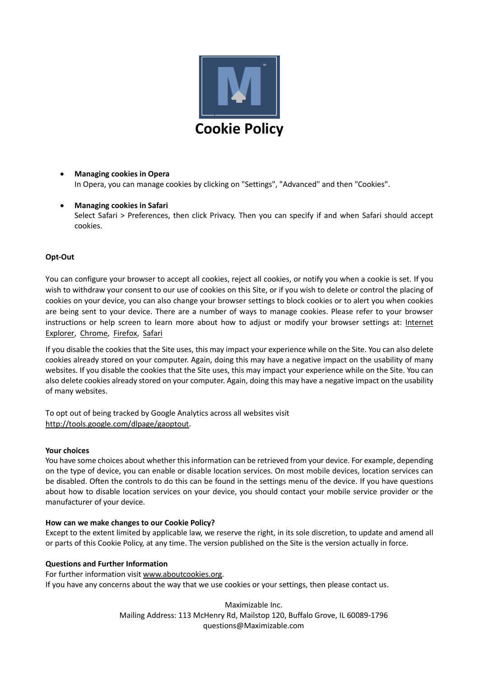

- **Managing cookies in Opera** In Opera, you can manage cookies by clicking on "Settings", "Advanced" and then "Cookies".
- **Managing cookies in Safari** Select Safari > Preferences, then click Privacy. Then you can specify if and when Safari should accept cookies.

## **Opt-Out**

You can configure your browser to accept all cookies, reject all cookies, or notify you when a cookie is set. If you wish to withdraw your consent to our use of cookies on this Site, or if you wish to delete or control the placing of cookies on your device, you can also change your browser settings to block cookies or to alert you when cookies are being sent to your device. There are a number of ways to manage cookies. Please refer to your browser instructions or help screen to learn more about how to adjust or modify your browser settings at: [Internet](https://support.microsoft.com/en-us/help/278835/how-to-delete-cookie-files-in-internet-explorer)  [Explorer,](https://support.microsoft.com/en-us/help/278835/how-to-delete-cookie-files-in-internet-explorer) [Chrome,](http://support.google.com/chrome/bin/answer.py?hl=en-GB&hlrm=nl&answer=95647) [Firefox,](http://support.mozilla.org/en-US/kb/enable-and-disable-cookies-website-preferences?s=cookies&r=5&as=s) [Safari](http://support.apple.com/kb/PH5042)

If you disable the cookies that the Site uses, this may impact your experience while on the Site. You can also delete cookies already stored on your computer. Again, doing this may have a negative impact on the usability of many websites. If you disable the cookies that the Site uses, this may impact your experience while on the Site. You can also delete cookies already stored on your computer. Again, doing this may have a negative impact on the usability of many websites.

To opt out of being tracked by Google Analytics across all websites visit [http://tools.google.com/dlpage/gaoptout.](http://tools.google.com/dlpage/gaoptout)

#### **Your choices**

You have some choices about whether this information can be retrieved from your device. For example, depending on the type of device, you can enable or disable location services. On most mobile devices, location services can be disabled. Often the controls to do this can be found in the settings menu of the device. If you have questions about how to disable location services on your device, you should contact your mobile service provider or the manufacturer of your device.

#### **How can we make changes to our Cookie Policy?**

Except to the extent limited by applicable law, we reserve the right, in its sole discretion, to update and amend all or parts of this Cookie Policy, at any time. The version published on the Site is the version actually in force.

#### **Questions and Further Information**

For further information visit [www.aboutcookies.org.](http://www.aboutcookies.org/) If you have any concerns about the way that we use cookies or your settings, then please contact us.

> Maximizable Inc. Mailing Address: 113 McHenry Rd, Mailstop 120, Buffalo Grove, IL 60089-1796 questions@Maximizable.com